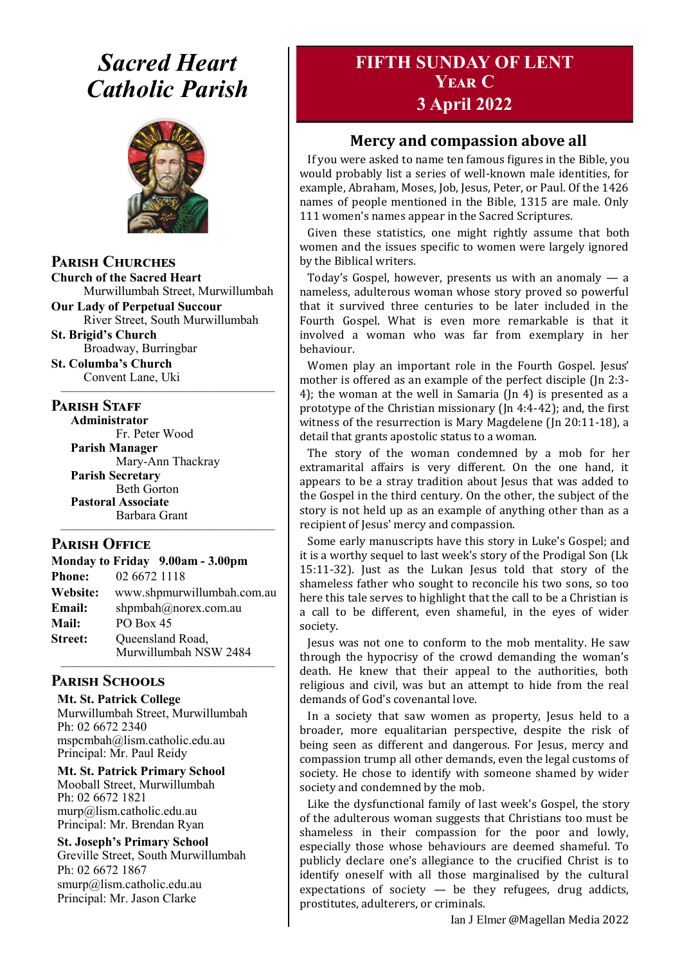## *Sacred Heart Catholic Parish*



**Parish Churches**

**Church of the Sacred Heart** Murwillumbah Street, Murwillumbah

**Our Lady of Perpetual Succour** River Street, South Murwillumbah

**St. Brigid's Church** Broadway, Burringbar

**St. Columba's Church** Convent Lane, Uki —————————————————

#### **PARISH STAFF**

**Administrator** Fr. Peter Wood **Parish Manager**

Mary-Ann Thackray **Parish Secretary** Beth Gorton **Pastoral Associate** Barbara Grant

#### **Parish Office**

|                | Monday to Friday 9.00am - 3.00pm          |
|----------------|-------------------------------------------|
| <b>Phone:</b>  | 02 6672 1118                              |
| Website:       | www.shpmurwillumbah.com.au                |
| Email:         | shpmbah@norex.com.au                      |
| <b>Mail:</b>   | <b>PO Box 45</b>                          |
| <b>Street:</b> | Queensland Road,<br>Murwillumbah NSW 2484 |
|                |                                           |

—————————————————

### **Parish Schools**

**Mt. St. Patrick College** Murwillumbah Street, Murwillumbah Ph: 02 6672 2340 mspcmbah@lism.catholic.edu.au Principal: Mr. Paul Reidy

**Mt. St. Patrick Primary School** Mooball Street, Murwillumbah Ph: 02 6672 1821 murp@lism.catholic.edu.au Principal: Mr. Brendan Ryan

**St. Joseph's Primary School** Greville Street, South Murwillumbah Ph: 02 6672 1867 smurp@lism.catholic.edu.au Principal: Mr. Jason Clarke

## **FIFTH SUNDAY OF LENT Year C 3 April 2022**

## **Mercy and compassion above all**

If you were asked to name ten famous figures in the Bible, you would probably list a series of well-known male identities, for example, Abraham, Moses, Job, Jesus, Peter, or Paul. Of the 1426 names of people mentioned in the Bible, 1315 are male. Only 111 women's names appear in the Sacred Scriptures.

Given these statistics, one might rightly assume that both women and the issues specific to women were largely ignored by the Biblical writers.

Today's Gospel, however, presents us with an anomaly — a nameless, adulterous woman whose story proved so powerful that it survived three centuries to be later included in the Fourth Gospel. What is even more remarkable is that it involved a woman who was far from exemplary in her behaviour.

Women play an important role in the Fourth Gospel. Jesus' mother is offered as an example of the perfect disciple (Jn 2:3- 4); the woman at the well in Samaria (Jn 4) is presented as a prototype of the Christian missionary (Jn 4:4-42); and, the first witness of the resurrection is Mary Magdelene (Jn 20:11-18), a detail that grants apostolic status to a woman.

The story of the woman condemned by a mob for her extramarital affairs is very different. On the one hand, it appears to be a stray tradition about Jesus that was added to the Gospel in the third century. On the other, the subject of the story is not held up as an example of anything other than as a recipient of Jesus' mercy and compassion.

Some early manuscripts have this story in Luke's Gospel; and it is a worthy sequel to last week's story of the Prodigal Son (Lk 15:11-32). Just as the Lukan Jesus told that story of the shameless father who sought to reconcile his two sons, so too here this tale serves to highlight that the call to be a Christian is a call to be different, even shameful, in the eyes of wider society.

Jesus was not one to conform to the mob mentality. He saw through the hypocrisy of the crowd demanding the woman's death. He knew that their appeal to the authorities, both religious and civil, was but an attempt to hide from the real demands of God's covenantal love.

In a society that saw women as property, Jesus held to a broader, more equalitarian perspective, despite the risk of being seen as different and dangerous. For Jesus, mercy and compassion trump all other demands, even the legal customs of society. He chose to identify with someone shamed by wider society and condemned by the mob.

Like the dysfunctional family of last week's Gospel, the story of the adulterous woman suggests that Christians too must be shameless in their compassion for the poor and lowly, especially those whose behaviours are deemed shameful. To publicly declare one's allegiance to the crucified Christ is to identify oneself with all those marginalised by the cultural expectations of society  $-$  be they refugees, drug addicts, prostitutes, adulterers, or criminals.

Ian J Elmer @Magellan Media 2022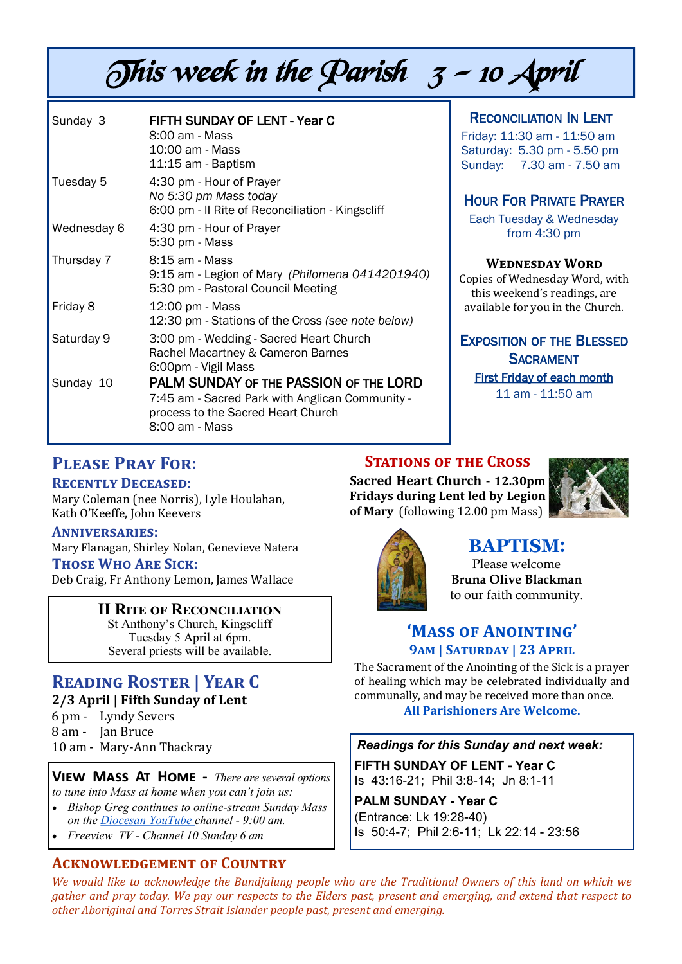# This week in the Parish  $3 - 10$  April

| Sunday 3    | <b>FIFTH SUNDAY OF LENT - Year C</b><br>8:00 am - Mass<br>10:00 am - Mass<br>11:15 am - Baptism                                                   |
|-------------|---------------------------------------------------------------------------------------------------------------------------------------------------|
| Tuesday 5   | 4:30 pm - Hour of Prayer<br>No 5:30 pm Mass today<br>6:00 pm - Il Rite of Reconciliation - Kingscliff                                             |
| Wednesday 6 | 4:30 pm - Hour of Prayer<br>5:30 pm - Mass                                                                                                        |
| Thursday 7  | 8:15 am - Mass<br>9:15 am - Legion of Mary (Philomena 0414201940)<br>5:30 pm - Pastoral Council Meeting                                           |
| Friday 8    | 12:00 pm - Mass<br>12:30 pm - Stations of the Cross (see note below)                                                                              |
| Saturday 9  | 3:00 pm - Wedding - Sacred Heart Church<br>Rachel Macartney & Cameron Barnes<br>6:00pm - Vigil Mass                                               |
| Sunday 10   | PALM SUNDAY OF THE PASSION OF THE LORD<br>7:45 am - Sacred Park with Anglican Community -<br>process to the Sacred Heart Church<br>8:00 am - Mass |

### RECONCILIATION IN LENT

Friday: 11:30 am - 11:50 am Saturday: 5.30 pm - 5.50 pm Sunday: 7.30 am - 7.50 am

### HOUR FOR PRIVATE PRAYER

Each Tuesday & Wednesday from 4:30 pm

#### **Wednesday Word**

Copies of Wednesday Word, with this weekend's readings, are available for you in the Church.

#### EXPOSITION OF THE BLESSED **SACRAMENT**

First Friday of each month

11 am - 11:50 am

## **Please Pray For:**

#### **Recently Deceased**:

Mary Coleman (nee Norris), Lyle Houlahan, Kath O'Keeffe, John Keevers

#### **Anniversaries:**

Mary Flanagan, Shirley Nolan, Genevieve Natera **Those Who Are Sick:** 

Deb Craig, Fr Anthony Lemon, James Wallace

#### **II Rite of Reconciliation**

St Anthony's Church, Kingscliff Tuesday 5 April at 6pm. Several priests will be available.

## **Reading Roster | Year C**

**2/3 April | Fifth Sunday of Lent** 

6 pm - Lyndy Severs 8 am - Jan Bruce 10 am - Mary-Ann Thackray

## **View Mass At Home -** *There are several options*

- *to tune into Mass at home when you can't join us:*
- *Bishop Greg continues to online-stream Sunday Mass on the Diocesan YouTube channel - 9:00 am.*
- *Freeview TV - Channel 10 Sunday 6 am*

## **Acknowledgement of Country**

**STATIONS OF THE CROSS Sacred Heart Church - 12.30pm Fridays during Lent led by Legion of Mary** (following 12.00 pm Mass)





## **BAPTISM**:

Please welcome **Bruna Olive Blackman** to our faith community.

## **'Mass of Anointing' 9am | Saturday | 23 April**

The Sacrament of the Anointing of the Sick is a prayer of healing which may be celebrated individually and communally, and may be received more than once. **All Parishioners Are Welcome.** 

#### *Readings for this Sunday and next week:*

**FIFTH SUNDAY OF LENT - Year C** Is 43:16-21; Phil 3:8-14; Jn 8:1-11

**PALM SUNDAY - Year C** (Entrance: Lk 19:28-40) Is 50:4-7; Phil 2:6-11; Lk 22:14 - 23:56

*We would like to acknowledge the Bundjalung people who are the Traditional Owners of this land on which we gather and pray today. We pay our respects to the Elders past, present and emerging, and extend that respect to other Aboriginal and Torres Strait Islander people past, present and emerging.*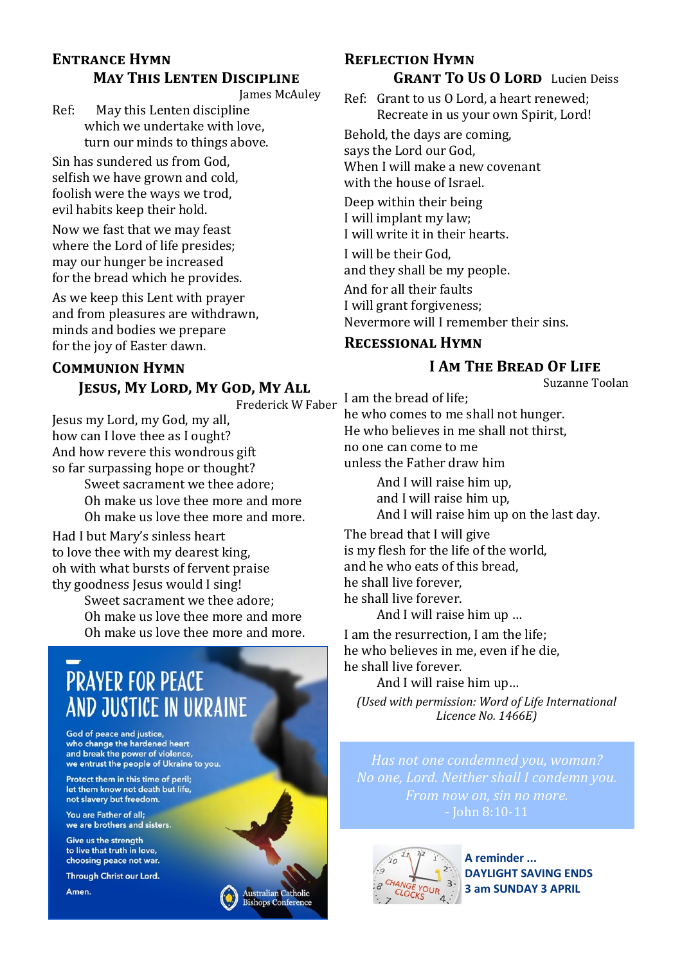## **Entrance Hymn May This Lenten Discipline**

James McAuley

Ref: May this Lenten discipline which we undertake with love, turn our minds to things above.

Sin has sundered us from God, selfish we have grown and cold, foolish were the ways we trod, evil habits keep their hold.

Now we fast that we may feast where the Lord of life presides; may our hunger be increased for the bread which he provides.

As we keep this Lent with prayer and from pleasures are withdrawn, minds and bodies we prepare for the joy of Easter dawn.

## **Communion Hymn**

### **Jesus, My Lord, My God, My All**

Frederick W Faber

**Australian Catholic Bishops Conference** 

Jesus my Lord, my God, my all, how can I love thee as I ought? And how revere this wondrous gift so far surpassing hope or thought?

Sweet sacrament we thee adore; Oh make us love thee more and more Oh make us love thee more and more.

Had I but Mary's sinless heart to love thee with my dearest king, oh with what bursts of fervent praise thy goodness Jesus would I sing!

> Sweet sacrament we thee adore; Oh make us love thee more and more Oh make us love thee more and more.

## **PRAYER FOR PEACE** AND JUSTICE IN UKRAINE

God of peace and justice, who change the hardened heart and break the power of violence, we entrust the people of Ukraine to you.

Protect them in this time of peril; let them know not death but life, not slavery but freedom.

You are Father of all; we are brothers and sisters.

Give us the strength to live that truth in love, choosing peace not war.

Through Christ our Lord.

Amen.

## **Reflection Hymn GRANT TO US O LORD** Lucien Deiss

Ref: Grant to us O Lord, a heart renewed; Recreate in us your own Spirit, Lord!

Behold, the days are coming, says the Lord our God, When I will make a new covenant with the house of Israel.

Deep within their being I will implant my law; I will write it in their hearts.

I will be their God, and they shall be my people.

And for all their faults I will grant forgiveness; Nevermore will I remember their sins.

### **Recessional Hymn**

## **I Am The Bread Of Life**

Suzanne Toolan

I am the bread of life; he who comes to me shall not hunger. He who believes in me shall not thirst, no one can come to me unless the Father draw him

> And I will raise him up, and I will raise him up, And I will raise him up on the last day.

The bread that I will give is my flesh for the life of the world, and he who eats of this bread, he shall live forever, he shall live forever.

And I will raise him up …

I am the resurrection, I am the life; he who believes in me, even if he die, he shall live forever.

And I will raise him up…

*(Used with permission: Word of Life International Licence No. 1466E)*

*Has not one condemned you, woman? No one, Lord. Neither shall I condemn you. From now on, sin no more.*



**A reminder ... DAYLIGHT SAVING ENDS 3 am SUNDAY 3 APRIL**